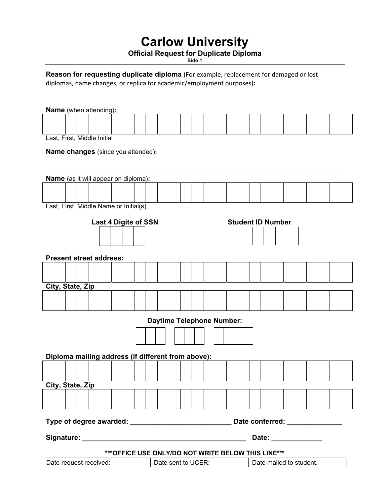## **Carlow University**

## **Official Request for Duplicate Diploma**

**Side 1** 

**Reason for requesting duplicate diploma** (For example, replacement for damaged or lost diplomas, name changes, or replica for academic/employment purposes)**:** 

| <b>Name</b> (when attending):                       |                          |
|-----------------------------------------------------|--------------------------|
|                                                     |                          |
| Last, First, Middle Initial                         |                          |
| <b>Name changes</b> (since you attended):           |                          |
| <b>Name</b> (as it will appear on diploma):         |                          |
|                                                     |                          |
| Last, First, Middle Name or Initial(s)              |                          |
| <b>Last 4 Digits of SSN</b>                         | <b>Student ID Number</b> |
|                                                     |                          |
| <b>Present street address:</b>                      |                          |
|                                                     |                          |
| City, State, Zip                                    |                          |
|                                                     |                          |
| <b>Daytime Telephone Number:</b>                    |                          |
|                                                     |                          |
| Diploma mailing address (if different from above):  |                          |
|                                                     |                          |
| City, State, Zip                                    |                          |
|                                                     |                          |
|                                                     |                          |
|                                                     | Date: ______________     |
| *** OFFICE USE ONLY/DO NOT WRITE BELOW THIS LINE*** |                          |
| Date request received:<br>Date sent to UCER:        | Date mailed to student:  |